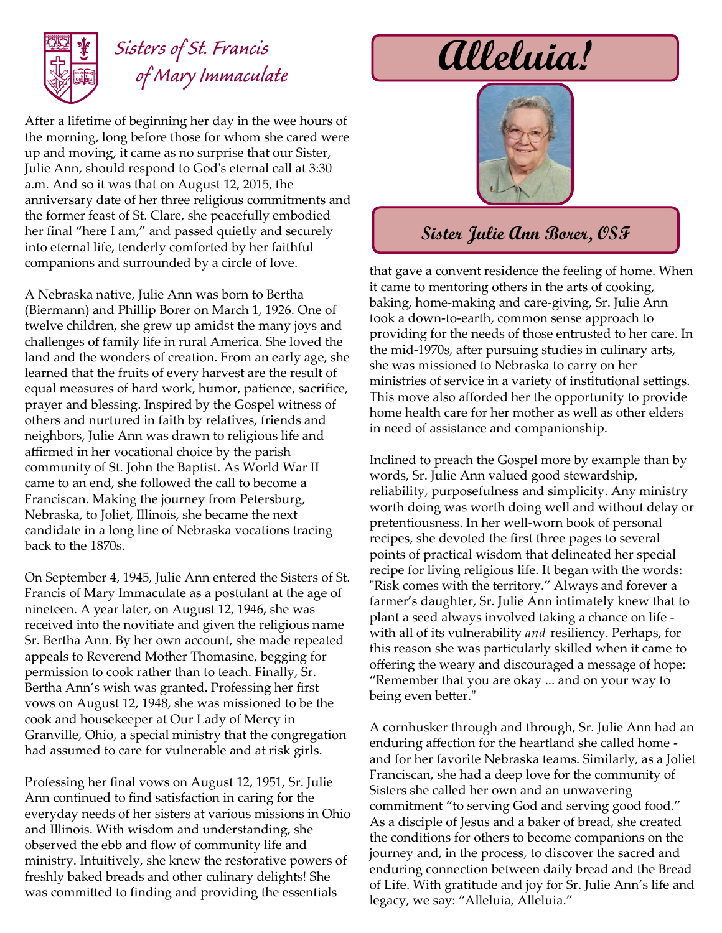

### *Sisters of St. Francis of Mary Immaculate*

After a lifetime of beginning her day in the wee hours of the morning, long before those for whom she cared were up and moving, it came as no surprise that our Sister, Julie Ann, should respond to God's eternal call at 3:30 a.m. And so it was that on August 12, 2015, the anniversary date of her three religious commitments and the former feast of St. Clare, she peacefully embodied her final "here I am," and passed quietly and securely into eternal life, tenderly comforted by her faithful companions and surrounded by a circle of love.

A Nebraska native, Julie Ann was born to Bertha (Biermann) and Phillip Borer on March 1, 1926. One of twelve children, she grew up amidst the many joys and challenges of family life in rural America. She loved the land and the wonders of creation. From an early age, she learned that the fruits of every harvest are the result of equal measures of hard work, humor, patience, sacrifice, prayer and blessing. Inspired by the Gospel witness of others and nurtured in faith by relatives, friends and neighbors, Julie Ann was drawn to religious life and affirmed in her vocational choice by the parish community of St. John the Baptist. As World War II came to an end, she followed the call to become a Franciscan. Making the journey from Petersburg, Nebraska, to Joliet, Illinois, she became the next candidate in a long line of Nebraska vocations tracing back to the 1870s.

On September 4, 1945, Julie Ann entered the Sisters of St. Francis of Mary Immaculate as a postulant at the age of nineteen. A year later, on August 12, 1946, she was received into the novitiate and given the religious name Sr. Bertha Ann. By her own account, she made repeated appeals to Reverend Mother Thomasine, begging for permission to cook rather than to teach. Finally, Sr. Bertha Ann's wish was granted. Professing her first vows on August 12, 1948, she was missioned to be the cook and housekeeper at Our Lady of Mercy in Granville, Ohio, a special ministry that the congregation had assumed to care for vulnerable and at risk girls.

Professing her final vows on August 12, 1951, Sr. Julie Ann continued to find satisfaction in caring for the everyday needs of her sisters at various missions in Ohio and Illinois. With wisdom and understanding, she observed the ebb and flow of community life and ministry. Intuitively, she knew the restorative powers of freshly baked breads and other culinary delights! She was committed to finding and providing the essentials

# **Alleluia!**



#### **Sister Julie Ann Borer, OSF**

that gave a convent residence the feeling of home. When it came to mentoring others in the arts of cooking, baking, home-making and care-giving, Sr. Julie Ann took a down-to-earth, common sense approach to providing for the needs of those entrusted to her care. In the mid-1970s, after pursuing studies in culinary arts, she was missioned to Nebraska to carry on her ministries of service in a variety of institutional settings. This move also afforded her the opportunity to provide home health care for her mother as well as other elders in need of assistance and companionship.

Inclined to preach the Gospel more by example than by words, Sr. Julie Ann valued good stewardship, reliability, purposefulness and simplicity. Any ministry worth doing was worth doing well and without delay or pretentiousness. In her well-worn book of personal recipes, she devoted the first three pages to several points of practical wisdom that delineated her special recipe for living religious life. It began with the words: "Risk comes with the territory." Always and forever a farmer's daughter, Sr. Julie Ann intimately knew that to plant a seed always involved taking a chance on life with all of its vulnerability *and* resiliency. Perhaps, for this reason she was particularly skilled when it came to offering the weary and discouraged a message of hope: "Remember that you are okay ... and on your way to being even better."

A cornhusker through and through, Sr. Julie Ann had an enduring affection for the heartland she called home and for her favorite Nebraska teams. Similarly, as a Joliet Franciscan, she had a deep love for the community of Sisters she called her own and an unwavering commitment "to serving God and serving good food." As a disciple of Jesus and a baker of bread, she created the conditions for others to become companions on the journey and, in the process, to discover the sacred and enduring connection between daily bread and the Bread of Life. With gratitude and joy for Sr. Julie Ann's life and legacy, we say: "Alleluia, Alleluia."